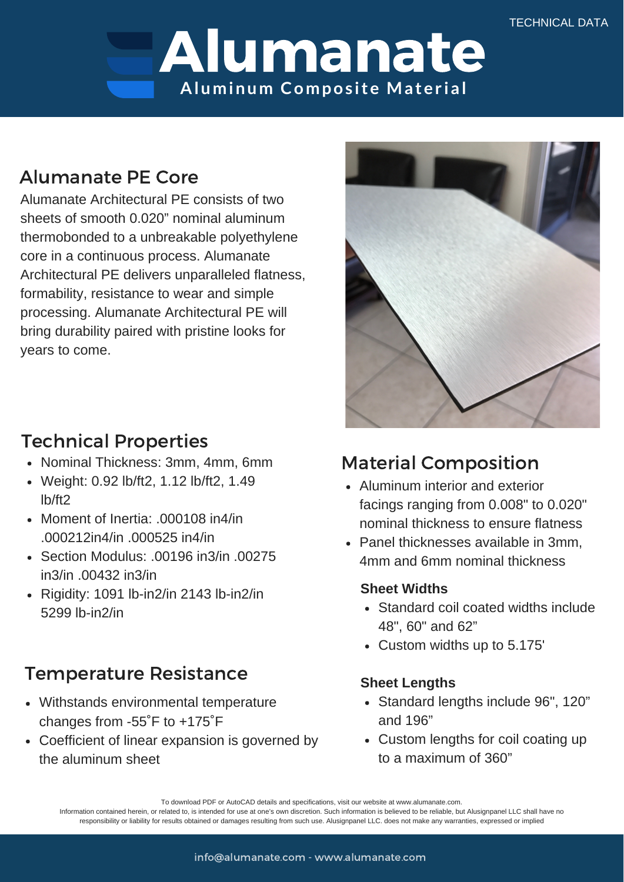# Alumanate **Aluminum Compos ite Mater ial**

## Alumanate PE Core

Alumanate Architectural PE consists of two sheets of smooth 0.020" nominal aluminum thermobonded to a unbreakable polyethylene core in a continuous process. Alumanate Architectural PE delivers unparalleled flatness, formability, resistance to wear and simple processing. Alumanate Architectural PE will bring durability paired with pristine looks for years to come.

## Technical Properties

- Nominal Thickness: 3mm, 4mm, 6mm
- Weight: 0.92 lb/ft2, 1.12 lb/ft2, 1.49 lb/ft2
- Moment of Inertia: .000108 in4/in .000212in4/in .000525 in4/in
- Section Modulus: .00196 in3/in .00275 in3/in .00432 in3/in
- Rigidity: 1091 lb-in2/in 2143 lb-in2/in 5299 lb-in2/in

# Temperature Resistance

- Withstands environmental temperature changes from -55˚F to +175˚F
- Coefficient of linear expansion is governed by the aluminum sheet



# Material Composition

- Aluminum interior and exterior facings ranging from 0.008" to 0.020" nominal thickness to ensure flatness
- Panel thicknesses available in 3mm, 4mm and 6mm nominal thickness

#### **Sheet Widths**

- Standard coil coated widths include 48", 60" and 62"
- Custom widths up to 5.175'

### **Sheet Lengths**

- Standard lengths include 96", 120" and 196"
- Custom lengths for coil coating up to a maximum of 360"

To download PDF or AutoCAD details and specifications, visit our website at www.alumanate.com.

Information contained herein, or related to, is intended for use at one's own discretion. Such information is believed to be reliable, but Alusignpanel LLC shall have no responsibility or liability for results obtained or damages resulting from such use. Alusignpanel LLC. does not make any warranties, expressed or implied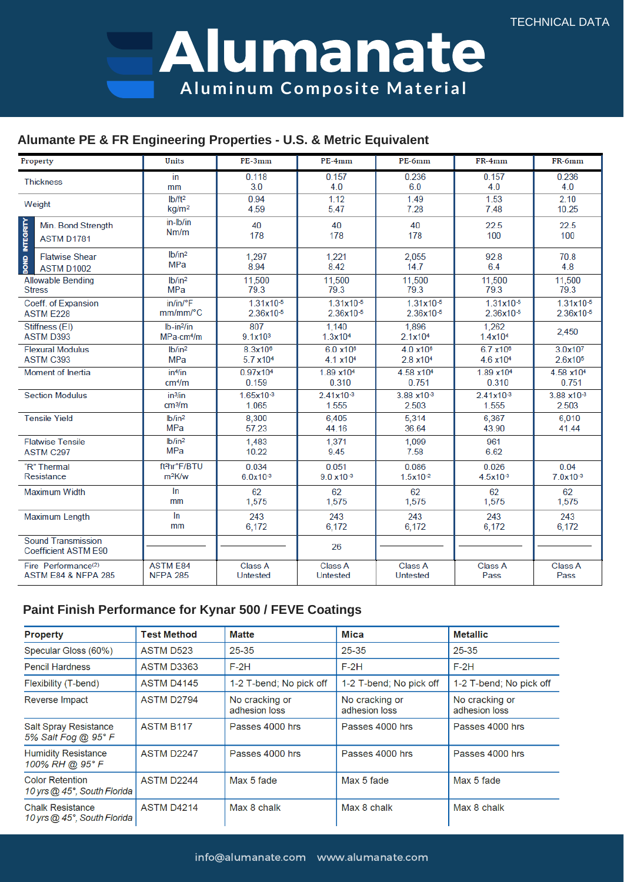Alumanate Aluminum Composite Material

#### Alumante PE & FR Engineering Properties - U.S. & Metric Equivalent

| Property                                                 | Units                     | PE-3mm              | PE-4mm               | PE-6mm               | FR-4mm               | FR-6mm                |
|----------------------------------------------------------|---------------------------|---------------------|----------------------|----------------------|----------------------|-----------------------|
| <b>Thickness</b>                                         | in                        | 0.118               | 0.157                | 0.236                | 0.157                | 0.236                 |
|                                                          | mm                        | 3.0                 | 4.0                  | 6.0                  | 4.0                  | 4.0                   |
| Weight                                                   | Ib/ft <sup>2</sup>        | 0.94                | 1.12                 | 1.49                 | 1.53                 | 2.10                  |
|                                                          | kg/m <sup>2</sup>         | 4.59                | 5.47                 | 7.28                 | 7.48                 | 10.25                 |
| BOND INTEGRITY<br>Min. Bond Strength<br>ASTM D1781       | in-Ib/in<br>Nm/m          | 40<br>178           | 40<br>178            | 40<br>178            | 22.5<br>100          | 22.5<br>100           |
| <b>Flatwise Shear</b>                                    | Ib/in <sup>2</sup>        | 1.297               | 1,221                | 2,055                | 92.8                 | 70.8                  |
| <b>ASTM D1002</b>                                        | <b>MPa</b>                | 8.94                | 8.42                 | 14.7                 | 6.4                  | 4.8                   |
| <b>Allowable Bending</b>                                 | lb/in <sup>2</sup>        | 11,500              | 11,500               | 11,500               | 11,500               | 11,500                |
| <b>Stress</b>                                            | <b>MPa</b>                | 79.3                | 79.3                 | 79.3                 | 79.3                 | 79.3                  |
| Coeff. of Expansion                                      | $in/in/{}^{\circ}F$       | 1.31x10-5           | 1.31x10-5            | $1.31x10^{-5}$       | $1.31x10^{-5}$       | $1.31x10^{-5}$        |
| <b>ASTM E228</b>                                         | mm/mm/°C                  | 2.36x10-5           | 2.36x10-5            | 2.36x10-5            | 2.36x10-5            | 2.36x10-5             |
| Stiffness (EI)                                           | $Ib-in2/in$               | 807                 | 1.140                | 1,896                | 1.262                | 2,450                 |
| <b>ASTM D393</b>                                         | $MPa$ -cm <sup>4</sup> /m | 9.1x10 <sup>3</sup> | 1.3x10 <sup>4</sup>  | 2.1x104              | 1.4x10 <sup>4</sup>  |                       |
| <b>Flexural Modulus</b>                                  | Ib/in <sup>2</sup>        | 8.3x10 <sup>6</sup> | 6.0 x10 <sup>6</sup> | $4.0 \times 10^{6}$  | 6.7 x10 <sup>6</sup> | 3.0x107               |
| ASTM C393                                                | <b>MPa</b>                | 5.7 x104            | 4.1 x10 <sup>4</sup> | 2.8 x10 <sup>4</sup> | 4.6 x10 <sup>4</sup> | 2.6x10 <sup>5</sup>   |
| Moment of Inertia                                        | in <sup>4</sup> /in       | 0.97x104            | 1.89 x104            | 4.58 x104            | 1.89 x104            | 4.58 x10 <sup>4</sup> |
|                                                          | cm <sup>4</sup> /m        | 0.159               | 0.310                | 0.751                | 0.310                | 0.751                 |
| <b>Section Modulus</b>                                   | in <sup>3</sup> fin       | 1.65x10-3           | $2.41x10^{-3}$       | 3.88 x10-3           | $2.41x10^{-3}$       | 3.88 x10-3            |
|                                                          | cm <sup>3</sup> /m        | 1.065               | 1.555                | 2.503                | 1.555                | 2.503                 |
| <b>Tensile Yield</b>                                     | Ib/in <sup>2</sup>        | 8,300               | 6.405                | 5,314                | 6,367                | 6.010                 |
|                                                          | MPa                       | 57.23               | 44.16                | 36.64                | 43.90                | 41.44                 |
| <b>Flatwise Tensile</b>                                  | Ib/in <sup>2</sup>        | 1.483               | 1,371                | 1,099                | 961                  |                       |
| ASTM C297                                                | <b>MPa</b>                | 10.22               | 9.45                 | 7.58                 | 6.62                 |                       |
| "R" Thermal                                              | ft <sup>2</sup> hr°F/BTU  | 0.034               | 0.051                | 0.086                | 0.026                | 0.04                  |
| Resistance                                               | $m^2K/w$                  | $6.0x10^{-3}$       | $9.0 \times 10^{-3}$ | 1.5x10-2             | 4.5x10-3             | $7.0x10^{-3}$         |
| Maximum Width                                            | In                        | 62                  | 62                   | 62                   | 62                   | 62                    |
|                                                          | mm                        | 1,575               | 1.575                | 1.575                | 1,575                | 1,575                 |
| <b>Maximum Length</b>                                    | $\ln$                     | 243                 | 243                  | 243                  | 243                  | 243                   |
|                                                          | mm                        | 6,172               | 6.172                | 6,172                | 6,172                | 6,172                 |
| <b>Sound Transmission</b><br><b>Coefficient ASTM E90</b> |                           |                     | 26                   |                      |                      |                       |
| Fire Performance <sup>(2)</sup>                          | <b>ASTM E84</b>           | Class A             | Class A              | Class A              | Class A              | Class A               |
| <b>ASTM E84 &amp; NFPA 285</b>                           | <b>NFPA 285</b>           | Untested            | <b>Untested</b>      | Untested             | Pass                 | Pass                  |

#### Paint Finish Performance for Kynar 500 / FEVE Coatings

| <b>Property</b>                                        | <b>Test Method</b> | <b>Matte</b>                    | Mica                            | <b>Metallic</b>                 |
|--------------------------------------------------------|--------------------|---------------------------------|---------------------------------|---------------------------------|
| Specular Gloss (60%)                                   | <b>ASTM D523</b>   | $25 - 35$                       | $25 - 35$                       | 25-35                           |
| <b>Pencil Hardness</b>                                 | <b>ASTM D3363</b>  | $F-2H$                          | $F-2H$                          | $F-2H$                          |
| Flexibility (T-bend)                                   | <b>ASTM D4145</b>  | 1-2 T-bend; No pick off         | 1-2 T-bend; No pick off         | 1-2 T-bend; No pick off         |
| Reverse Impact                                         | <b>ASTM D2794</b>  | No cracking or<br>adhesion loss | No cracking or<br>adhesion loss | No cracking or<br>adhesion loss |
| <b>Salt Spray Resistance</b><br>5% Salt Fog @ 95° F    | <b>ASTM B117</b>   | Passes 4000 hrs                 | Passes 4000 hrs                 | Passes 4000 hrs                 |
| <b>Humidity Resistance</b><br>100% RH @ 95° F          | ASTM D2247         | Passes 4000 hrs                 | Passes 4000 hrs                 | Passes 4000 hrs                 |
| <b>Color Retention</b><br>10 yrs @ 45°, South Florida  | ASTM D2244         | Max 5 fade                      | Max 5 fade                      | Max 5 fade                      |
| <b>Chalk Resistance</b><br>10 yrs @ 45°, South Florida | <b>ASTM D4214</b>  | Max 8 chalk                     | Max 8 chalk                     | Max 8 chalk                     |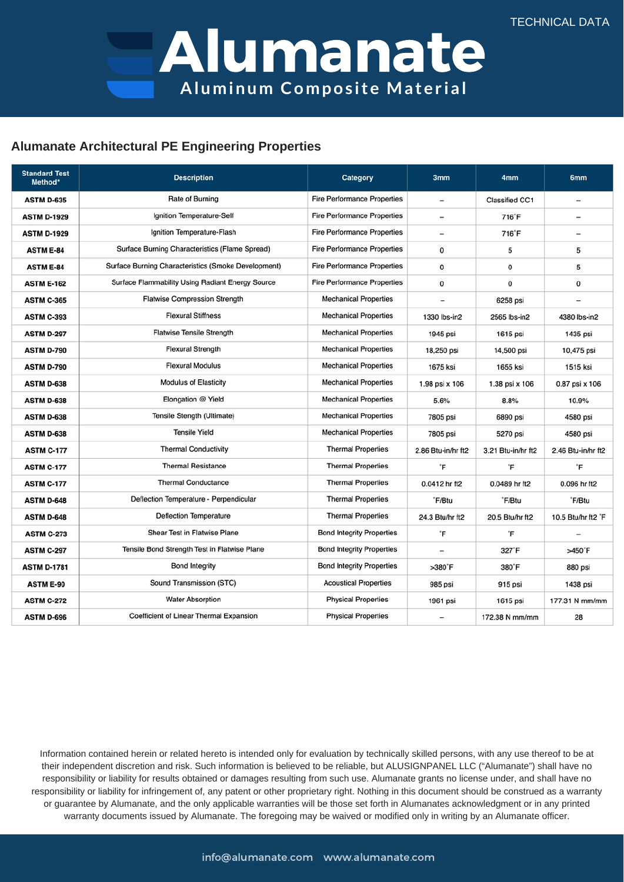Alumanate **Aluminum Compos ite Mater ial**

#### **Alumanate Architectural PE Engineering Properties**

| <b>Standard Test</b><br>Method* | <b>Description</b>                                  | <b>Category</b>                    | 3mm                      | 4mm                | 6mm                          |
|---------------------------------|-----------------------------------------------------|------------------------------------|--------------------------|--------------------|------------------------------|
| <b>ASTM D-635</b>               | Rate of Burning                                     | <b>Fire Performance Properties</b> | $\overline{\phantom{0}}$ | Classified CC1     | $\qquad \qquad \blacksquare$ |
| <b>ASTM D-1929</b>              | Ignition Temperature-Self                           | <b>Fire Performance Properties</b> | $\overline{\phantom{a}}$ | 716°F              | $\overline{\phantom{a}}$     |
| <b>ASTM D-1929</b>              | Ignition Temperature-Flash                          | <b>Fire Performance Properties</b> | $\overline{\phantom{0}}$ | 716°F              |                              |
| <b>ASTM E-84</b>                | Surface Burning Characteristics (Flame Spread)      | <b>Fire Performance Properties</b> | 0                        | 5                  | 5                            |
| <b>ASTM E-84</b>                | Surface Burning Characteristics (Smoke Development) | <b>Fire Performance Properties</b> | 0                        | 0                  | 5                            |
| <b>ASTM E-162</b>               | Surface Flammability Using Radiant Energy Source    | <b>Fire Performance Properties</b> | 0                        | 0                  | 0                            |
| <b>ASTM C-365</b>               | Flatwise Compression Strength                       | <b>Mechanical Properties</b>       |                          | 6258 psi           |                              |
| <b>ASTM C-393</b>               | <b>Flexural Stiffness</b>                           | <b>Mechanical Properties</b>       | 1330 lbs-in2             | 2565 lbs-in2       | 4380 lbs-in2                 |
| <b>ASTM D-297</b>               | <b>Flatwise Tensile Strength</b>                    | <b>Mechanical Properties</b>       | 1945 psi                 | 1615 psi           | 1435 psi                     |
| <b>ASTM D-790</b>               | <b>Flexural Strength</b>                            | <b>Mechanical Properties</b>       | 18,250 psi               | 14,500 psi         | 10,475 psi                   |
| <b>ASTM D-790</b>               | <b>Flexural Modulus</b>                             | <b>Mechanical Properties</b>       | 1675 ksi                 | 1655 ksi           | 1515 ksi                     |
| <b>ASTM D-638</b>               | <b>Modulus of Elasticity</b>                        | <b>Mechanical Properties</b>       | 1.98 psi x 106           | 1.38 psi x 106     | 0.87 psi x 106               |
| <b>ASTM D-638</b>               | Elongation @ Yield                                  | <b>Mechanical Properties</b>       | 5.6%                     | 8.8%               | 10.9%                        |
| <b>ASTM D-638</b>               | Tensile Stength (Ultimate)                          | <b>Mechanical Properties</b>       | 7805 psi                 | 6890 psi           | 4580 psi                     |
| <b>ASTM D-638</b>               | <b>Tensile Yield</b>                                | <b>Mechanical Properties</b>       | 7805 psi                 | 5270 psi           | 4580 psi                     |
| <b>ASTM C-177</b>               | <b>Thermal Conductivity</b>                         | <b>Thermal Properties</b>          | 2.86 Btu-in/hr ft2       | 3.21 Btu-in/hr ft2 | 2.46 Btu-in/hr ft2           |
| <b>ASTM C-177</b>               | <b>Thermal Resistance</b>                           | <b>Thermal Properties</b>          | °F                       | °F                 | °F                           |
| <b>ASTM C-177</b>               | <b>Thermal Conductance</b>                          | <b>Thermal Properties</b>          | 0.0412 hr ft2            | 0.0489 hr ft2      | 0.096 hr ft2                 |
| <b>ASTM D-648</b>               | Deflection Temperature - Perpendicular              | <b>Thermal Properties</b>          | "F/Btu                   | "F/Btu             | "F/Btu                       |
| <b>ASTM D-648</b>               | <b>Deflection Temperature</b>                       | <b>Thermal Properties</b>          | 24.3 Btu/hr ft2          | 20.5 Btu/hr ft2    | 10.5 Btu/hr ft2 'F           |
| <b>ASTM C-273</b>               | Shear Test in Flatwise Plane                        | <b>Bond Integrity Properties</b>   | °F                       | °F                 |                              |
| <b>ASTM C-297</b>               | Tensile Bond Strength Test in Flatwise Plane        | <b>Bond Integrity Properties</b>   | $\overline{\phantom{a}}$ | 327'F              | >450°F                       |
| <b>ASTM D-1781</b>              | <b>Bond Integrity</b>                               | <b>Bond Integrity Properties</b>   | $>380$ <sup>*</sup> F    | 380'F              | 880 psi                      |
| <b>ASTM E-90</b>                | Sound Transmission (STC)                            | <b>Acoustical Properties</b>       | 985 psi                  | 915 psi            | 1438 psi                     |
| <b>ASTM C-272</b>               | <b>Water Absorption</b>                             | <b>Physical Properties</b>         | 1961 psi                 | 1615 psi           | 177.31 N mm/mm               |
| <b>ASTM D-696</b>               | Coefficient of Linear Thermal Expansion             | <b>Physical Properties</b>         | $\overline{\phantom{0}}$ | 172.38 N mm/mm     | 28                           |

Information contained herein or related hereto is intended only for evaluation by technically skilled persons, with any use thereof to be at their independent discretion and risk. Such information is believed to be reliable, but ALUSIGNPANEL LLC ("Alumanate") shall have no responsibility or liability for results obtained or damages resulting from such use. Alumanate grants no license under, and shall have no responsibility or liability for infringement of, any patent or other proprietary right. Nothing in this document should be construed as a warranty or guarantee by Alumanate, and the only applicable warranties will be those set forth in Alumanates acknowledgment or in any printed warranty documents issued by Alumanate. The foregoing may be waived or modified only in writing by an Alumanate officer.